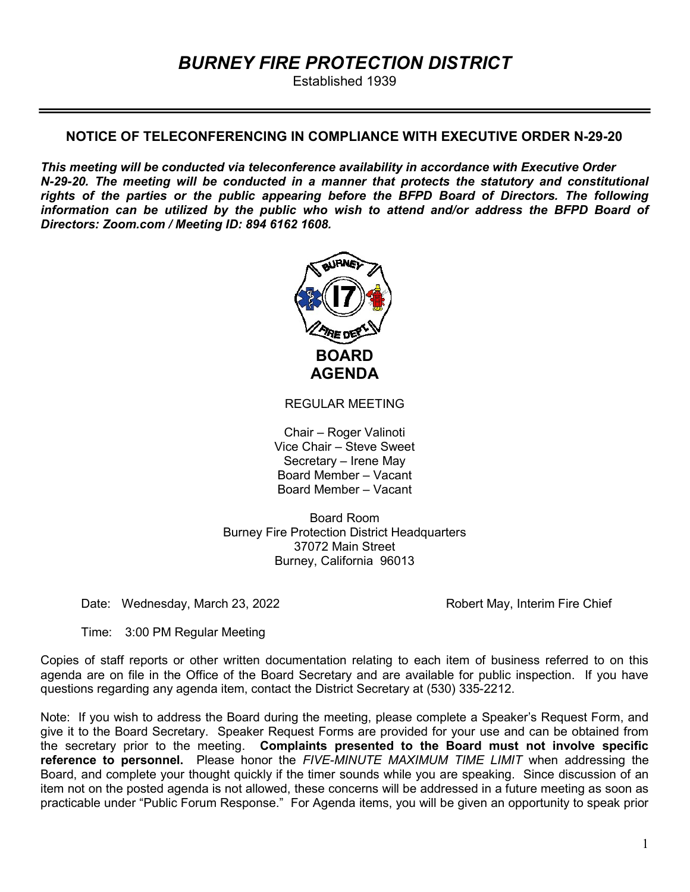# BURNEY FIRE PROTECTION DISTRICT

Established 1939

# NOTICE OF TELECONFERENCING IN COMPLIANCE WITH EXECUTIVE ORDER N-29-20

This meeting will be conducted via teleconference availability in accordance with Executive Order N-29-20. The meeting will be conducted in a manner that protects the statutory and constitutional rights of the parties or the public appearing before the BFPD Board of Directors. The following information can be utilized by the public who wish to attend and/or address the BFPD Board of Directors: Zoom.com / Meeting ID: 894 6162 1608.



REGULAR MEETING

Chair – Roger Valinoti Vice Chair – Steve Sweet Secretary – Irene May Board Member – Vacant Board Member – Vacant

Board Room Burney Fire Protection District Headquarters 37072 Main Street Burney, California 96013

Date: Wednesday, March 23, 2022 **Robert May, Interim Fire Chief** 

Time: 3:00 PM Regular Meeting

Copies of staff reports or other written documentation relating to each item of business referred to on this agenda are on file in the Office of the Board Secretary and are available for public inspection. If you have questions regarding any agenda item, contact the District Secretary at (530) 335-2212.

Note: If you wish to address the Board during the meeting, please complete a Speaker's Request Form, and give it to the Board Secretary. Speaker Request Forms are provided for your use and can be obtained from the secretary prior to the meeting. Complaints presented to the Board must not involve specific reference to personnel. Please honor the FIVE-MINUTE MAXIMUM TIME LIMIT when addressing the Board, and complete your thought quickly if the timer sounds while you are speaking. Since discussion of an item not on the posted agenda is not allowed, these concerns will be addressed in a future meeting as soon as practicable under "Public Forum Response." For Agenda items, you will be given an opportunity to speak prior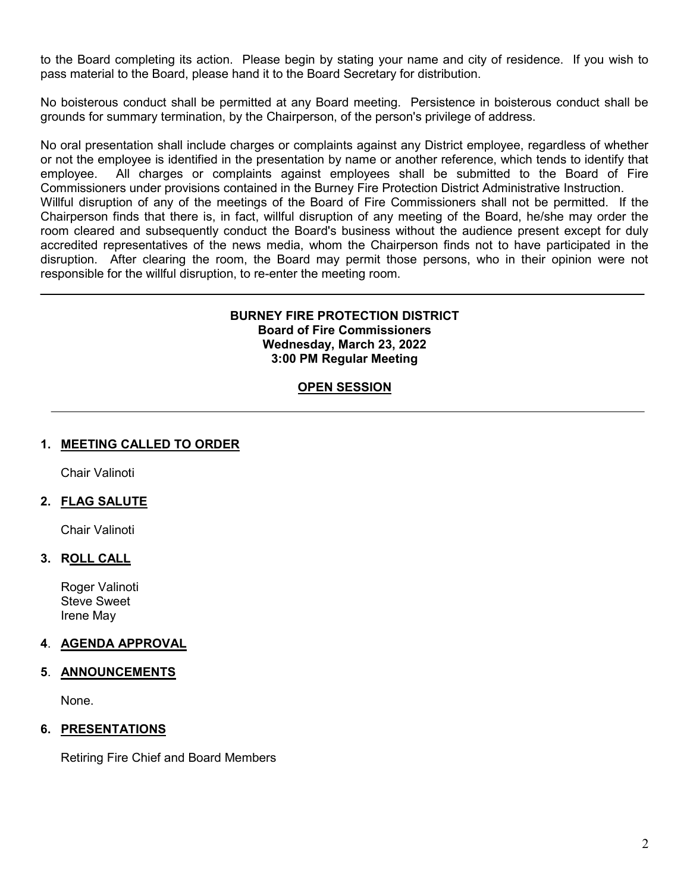to the Board completing its action. Please begin by stating your name and city of residence. If you wish to pass material to the Board, please hand it to the Board Secretary for distribution.

No boisterous conduct shall be permitted at any Board meeting. Persistence in boisterous conduct shall be grounds for summary termination, by the Chairperson, of the person's privilege of address.

No oral presentation shall include charges or complaints against any District employee, regardless of whether or not the employee is identified in the presentation by name or another reference, which tends to identify that employee. All charges or complaints against employees shall be submitted to the Board of Fire Commissioners under provisions contained in the Burney Fire Protection District Administrative Instruction. Willful disruption of any of the meetings of the Board of Fire Commissioners shall not be permitted. If the

Chairperson finds that there is, in fact, willful disruption of any meeting of the Board, he/she may order the room cleared and subsequently conduct the Board's business without the audience present except for duly accredited representatives of the news media, whom the Chairperson finds not to have participated in the disruption. After clearing the room, the Board may permit those persons, who in their opinion were not responsible for the willful disruption, to re-enter the meeting room.

#### BURNEY FIRE PROTECTION DISTRICT Board of Fire Commissioners Wednesday, March 23, 2022 3:00 PM Regular Meeting

# **OPEN SESSION**

## 1. MEETING CALLED TO ORDER

Chair Valinoti

 $\overline{a}$ 

# 2. FLAG SALUTE

Chair Valinoti

## 3. ROLL CALL

Roger Valinoti Steve Sweet Irene May

## 4. AGENDA APPROVAL

#### 5. ANNOUNCEMENTS

None.

## 6. PRESENTATIONS

Retiring Fire Chief and Board Members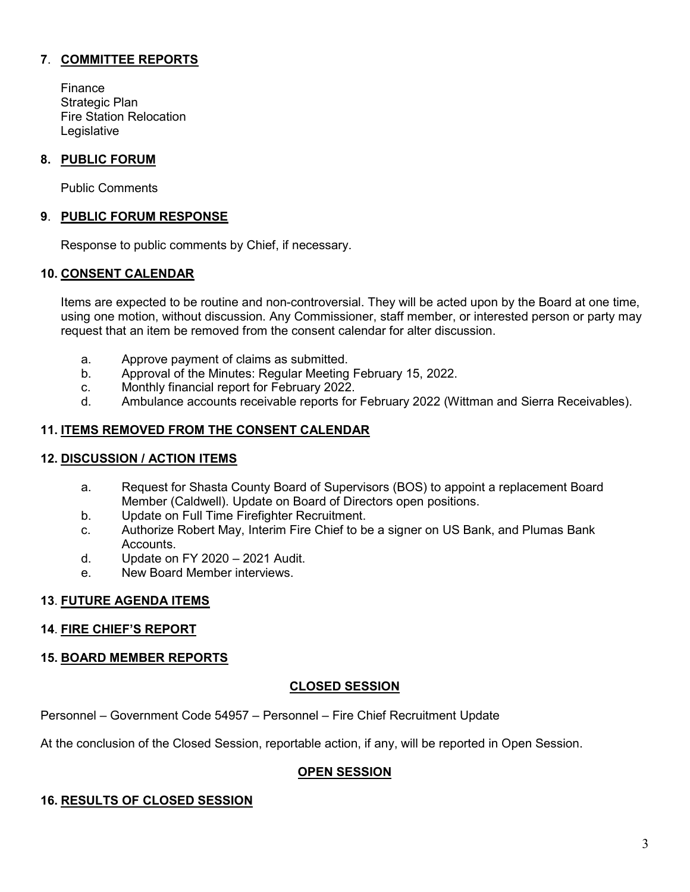# 7. COMMITTEE REPORTS

 Finance Strategic Plan Fire Station Relocation **Legislative** 

## 8. PUBLIC FORUM

Public Comments

## 9. PUBLIC FORUM RESPONSE

Response to public comments by Chief, if necessary.

#### 10. CONSENT CALENDAR

 Items are expected to be routine and non-controversial. They will be acted upon by the Board at one time, using one motion, without discussion. Any Commissioner, staff member, or interested person or party may request that an item be removed from the consent calendar for alter discussion.

- a. Approve payment of claims as submitted.
- b. Approval of the Minutes: Regular Meeting February 15, 2022.
- c. Monthly financial report for February 2022.
- d. Ambulance accounts receivable reports for February 2022 (Wittman and Sierra Receivables).

## 11. ITEMS REMOVED FROM THE CONSENT CALENDAR

## 12. DISCUSSION / ACTION ITEMS

- a. Request for Shasta County Board of Supervisors (BOS) to appoint a replacement Board Member (Caldwell). Update on Board of Directors open positions.
- b. Update on Full Time Firefighter Recruitment.
- c. Authorize Robert May, Interim Fire Chief to be a signer on US Bank, and Plumas Bank **Accounts**
- d. Update on FY 2020 2021 Audit.
- e. New Board Member interviews.

#### 13. FUTURE AGENDA ITEMS

#### 14. FIRE CHIEF'S REPORT

## 15. BOARD MEMBER REPORTS

## CLOSED SESSION

Personnel – Government Code 54957 – Personnel – Fire Chief Recruitment Update

At the conclusion of the Closed Session, reportable action, if any, will be reported in Open Session.

## OPEN SESSION

#### 16. RESULTS OF CLOSED SESSION